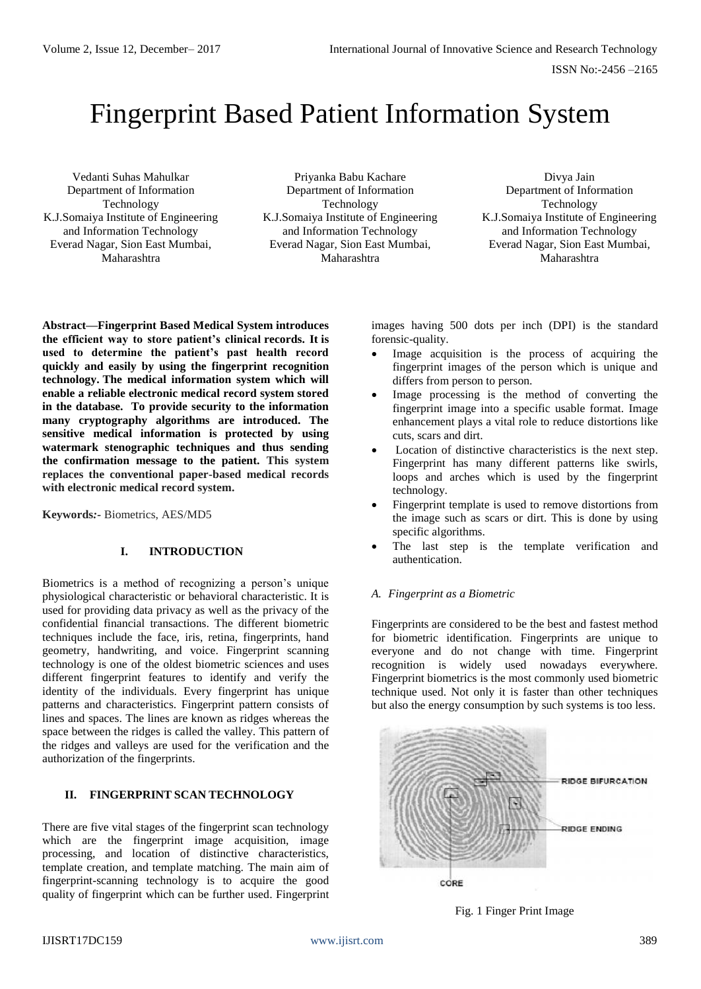# Fingerprint Based Patient Information System

Vedanti Suhas Mahulkar Department of Information Technology K.J.Somaiya Institute of Engineering and Information Technology Everad Nagar, Sion East Mumbai, Maharashtra

Priyanka Babu Kachare Department of Information Technology K.J.Somaiya Institute of Engineering and Information Technology Everad Nagar, Sion East Mumbai, Maharashtra

Divya Jain Department of Information Technology K.J.Somaiya Institute of Engineering and Information Technology Everad Nagar, Sion East Mumbai, Maharashtra

**Abstract—Fingerprint Based Medical System introduces the efficient way to store patient's clinical records. It is used to determine the patient's past health record quickly and easily by using the fingerprint recognition technology. The medical information system which will enable a reliable electronic medical record system stored in the database. To provide security to the information many cryptography algorithms are introduced. The sensitive medical information is protected by using watermark stenographic techniques and thus sending the confirmation message to the patient. This system replaces the conventional paper-based medical records with electronic medical record system.**

**Keywords***:-* Biometrics, AES/MD5

## **I. INTRODUCTION**

Biometrics is a method of recognizing a person's unique physiological characteristic or behavioral characteristic. It is used for providing data privacy as well as the privacy of the confidential financial transactions. The different biometric techniques include the face, iris, retina, fingerprints, hand geometry, handwriting, and voice. Fingerprint scanning technology is one of the oldest biometric sciences and uses different fingerprint features to identify and verify the identity of the individuals. Every fingerprint has unique patterns and characteristics. Fingerprint pattern consists of lines and spaces. The lines are known as ridges whereas the space between the ridges is called the valley. This pattern of the ridges and valleys are used for the verification and the authorization of the fingerprints.

# **II. FINGERPRINT SCAN TECHNOLOGY**

There are five vital stages of the fingerprint scan technology which are the fingerprint image acquisition, image processing, and location of distinctive characteristics, template creation, and template matching. The main aim of fingerprint-scanning technology is to acquire the good quality of fingerprint which can be further used. Fingerprint images having 500 dots per inch (DPI) is the standard forensic-quality.

- Image acquisition is the process of acquiring the fingerprint images of the person which is unique and differs from person to person.
- Image processing is the method of converting the fingerprint image into a specific usable format. Image enhancement plays a vital role to reduce distortions like cuts, scars and dirt.
- Location of distinctive characteristics is the next step. Fingerprint has many different patterns like swirls, loops and arches which is used by the fingerprint technology.
- Fingerprint template is used to remove distortions from the image such as scars or dirt. This is done by using specific algorithms.
- The last step is the template verification and authentication.

## *A. Fingerprint as a Biometric*

Fingerprints are considered to be the best and fastest method for biometric identification. Fingerprints are unique to everyone and do not change with time. Fingerprint recognition is widely used nowadays everywhere. Fingerprint biometrics is the most commonly used biometric technique used. Not only it is faster than other techniques but also the energy consumption by such systems is too less.



Fig. 1 Finger Print Image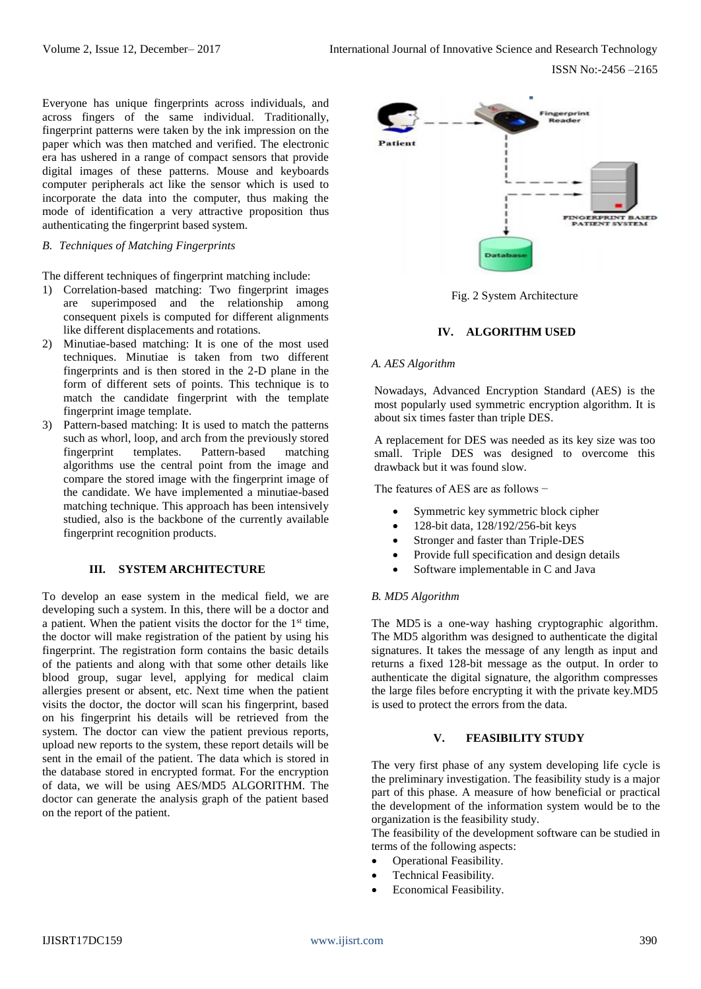Everyone has unique fingerprints across individuals, and across fingers of the same individual. Traditionally, fingerprint patterns were taken by the ink impression on the paper which was then matched and verified. The electronic era has ushered in a range of compact sensors that provide digital images of these patterns. Mouse and keyboards computer peripherals act like the sensor which is used to incorporate the data into the computer, thus making the mode of identification a very attractive proposition thus authenticating the fingerprint based system.

## *B. Techniques of Matching Fingerprints*

The different techniques of fingerprint matching include:

- 1) Correlation-based matching: Two fingerprint images are superimposed and the relationship among consequent pixels is computed for different alignments like different displacements and rotations.
- 2) Minutiae-based matching: It is one of the most used techniques. Minutiae is taken from two different fingerprints and is then stored in the 2-D plane in the form of different sets of points. This technique is to match the candidate fingerprint with the template fingerprint image template.
- 3) Pattern-based matching: It is used to match the patterns such as whorl, loop, and arch from the previously stored fingerprint templates. Pattern-based matching algorithms use the central point from the image and compare the stored image with the fingerprint image of the candidate. We have implemented a minutiae-based matching technique. This approach has been intensively studied, also is the backbone of the currently available fingerprint recognition products.

#### **III. SYSTEM ARCHITECTURE**

To develop an ease system in the medical field, we are developing such a system. In this, there will be a doctor and a patient. When the patient visits the doctor for the  $1<sup>st</sup>$  time, the doctor will make registration of the patient by using his fingerprint. The registration form contains the basic details of the patients and along with that some other details like blood group, sugar level, applying for medical claim allergies present or absent, etc. Next time when the patient visits the doctor, the doctor will scan his fingerprint, based on his fingerprint his details will be retrieved from the system. The doctor can view the patient previous reports, upload new reports to the system, these report details will be sent in the email of the patient. The data which is stored in the database stored in encrypted format. For the encryption of data, we will be using AES/MD5 ALGORITHM. The doctor can generate the analysis graph of the patient based on the report of the patient.





## **IV. ALGORITHM USED**

#### *A. AES Algorithm*

Nowadays, Advanced Encryption Standard (AES) is the most popularly used symmetric encryption algorithm. It is about six times faster than triple DES.

A replacement for DES was needed as its key size was too small. Triple DES was designed to overcome this drawback but it was found slow.

The features of AES are as follows −

- Symmetric key symmetric block cipher
- 128-bit data, 128/192/256-bit keys
- Stronger and faster than Triple-DES
- Provide full specification and design details
- Software implementable in C and Java

## *B. MD5 Algorithm*

The MD5 is a one-way hashing cryptographic [algorithm.](http://whatis.techtarget.com/definition/algorithm) The MD5 algorithm was designed to authenticate the digital signatures. It takes the message of any length as input and returns a fixed 128-bit message as the output. In order to authenticate the digital signature, the algorithm compresses the large files before encrypting it with the private key.MD5 is used to protect the errors from the data.

## **V. FEASIBILITY STUDY**

The very first phase of any system developing life cycle is the preliminary investigation. The feasibility study is a major part of this phase. A measure of how beneficial or practical the development of the information system would be to the organization is the feasibility study.

The feasibility of the development software can be studied in terms of the following aspects:

- Operational Feasibility.
- Technical Feasibility.
- Economical Feasibility.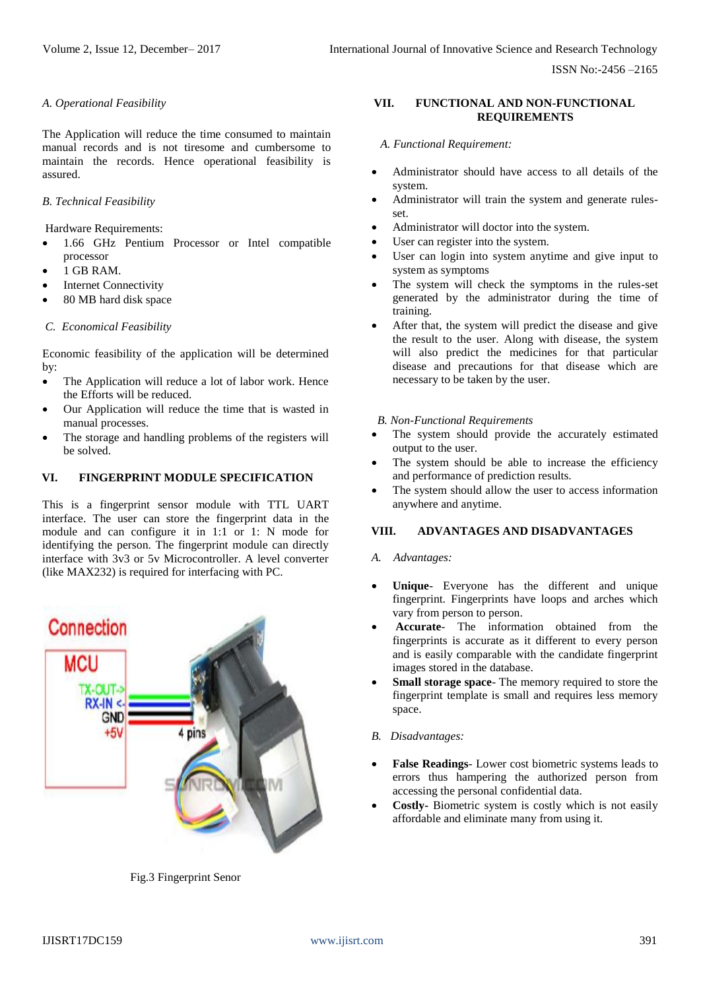## *A. Operational Feasibility*

The Application will reduce the time consumed to maintain manual records and is not tiresome and cumbersome to maintain the records. Hence operational feasibility is assured.

# *B. Technical Feasibility*

Hardware Requirements:

- 1.66 GHz Pentium Processor or Intel compatible processor
- 1 GB RAM.
- **Internet Connectivity**
- 80 MB hard disk space

## *C. Economical Feasibility*

Economic feasibility of the application will be determined by:

- The Application will reduce a lot of labor work. Hence the Efforts will be reduced.
- Our Application will reduce the time that is wasted in manual processes.
- The storage and handling problems of the registers will be solved.

## **VI. FINGERPRINT MODULE SPECIFICATION**

This is a fingerprint sensor module with TTL UART interface. The user can store the fingerprint data in the module and can configure it in 1:1 or 1: N mode for identifying the person. The fingerprint module can directly interface with 3v3 or 5v Microcontroller. A level converter (like MAX232) is required for interfacing with PC.



Fig.3 Fingerprint Senor

## **VII. FUNCTIONAL AND NON-FUNCTIONAL REQUIREMENTS**

 *A. Functional Requirement:*

- Administrator should have access to all details of the system.
- Administrator will train the system and generate rulesset.
- Administrator will doctor into the system.
- User can register into the system.
- User can login into system anytime and give input to system as symptoms
- The system will check the symptoms in the rules-set generated by the administrator during the time of training.
- After that, the system will predict the disease and give the result to the user. Along with disease, the system will also predict the medicines for that particular disease and precautions for that disease which are necessary to be taken by the user.

#### *B. Non-Functional Requirements*

- The system should provide the accurately estimated output to the user.
- The system should be able to increase the efficiency and performance of prediction results.
- The system should allow the user to access information anywhere and anytime.

## **VIII. ADVANTAGES AND DISADVANTAGES**

#### *A. Advantages:*

- Unique- Everyone has the different and unique fingerprint. Fingerprints have loops and arches which vary from person to person.
- **Accurate** The information obtained from the fingerprints is accurate as it different to every person and is easily comparable with the candidate fingerprint images stored in the database.
- **Small storage space** The memory required to store the fingerprint template is small and requires less memory space.

## *B. Disadvantages:*

- **False Readings** Lower cost biometric systems leads to errors thus hampering the authorized person from accessing the personal confidential data.
- **Costly-** Biometric system is costly which is not easily affordable and eliminate many from using it.